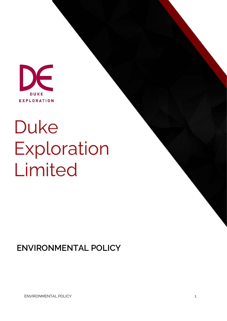

## Duke Exploration Limited

**ENVIRONMENTAL POLICY**

ENVIRONMENTAL POLICY 1